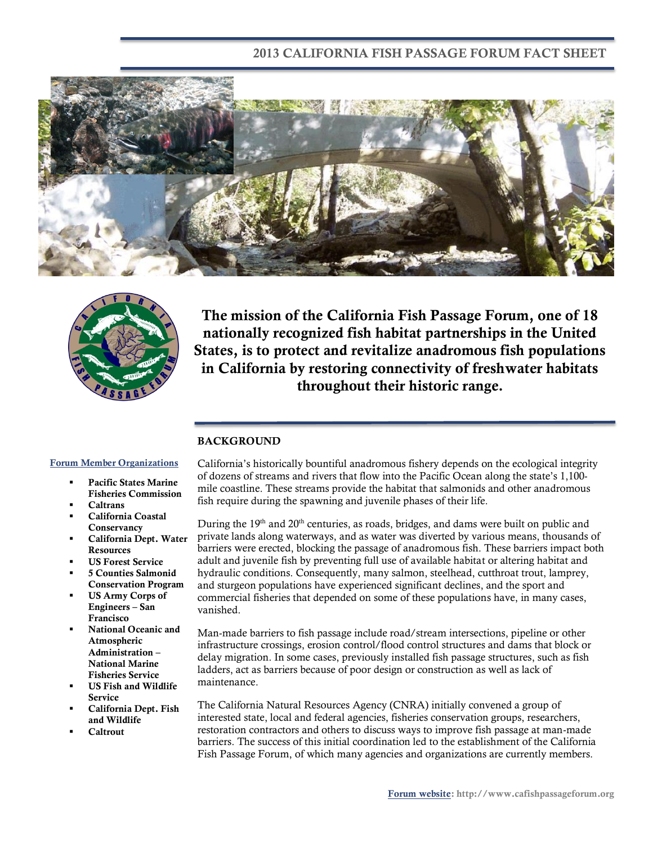### **2013 CALIFORNIA FISH PASSAGE FORUM FACT SHEET**





**The mission of the California Fish Passage Forum, one of 18 nationally recognized fish habitat partnerships in the United States, is to protect and revitalize anadromous fish populations in California by restoring connectivity of freshwater habitats throughout their historic range.**

#### **BACKGROUND**

### **Forum Member Organizations**

- **Pacific States Marine Fisheries Commission**
- **Caltrans**
- **California Coastal Conservancy**
- **California Dept. Water Resources**
- **US Forest Service**
- **5 Counties Salmonid Conservation Program**
- **US Army Corps of Engineers – San Francisco**
- **National Oceanic and Atmospheric Administration – National Marine Fisheries Service**
- **US Fish and Wildlife Service**
- **California Dept. Fish and Wildlife**
- **Caltrout**

California's historically bountiful anadromous fishery depends on the ecological integrity of dozens of streams and rivers that flow into the Pacific Ocean along the state's 1,100 mile coastline. These streams provide the habitat that salmonids and other anadromous fish require during the spawning and juvenile phases of their life.

During the  $19<sup>th</sup>$  and  $20<sup>th</sup>$  centuries, as roads, bridges, and dams were built on public and private lands along waterways, and as water was diverted by various means, thousands of barriers were erected, blocking the passage of anadromous fish. These barriers impact both adult and juvenile fish by preventing full use of available habitat or altering habitat and hydraulic conditions. Consequently, many salmon, steelhead, cutthroat trout, lamprey, and sturgeon populations have experienced significant declines, and the sport and commercial fisheries that depended on some of these populations have, in many cases, vanished.

Man-made barriers to fish passage include road/stream intersections, pipeline or other infrastructure crossings, erosion control/flood control structures and dams that block or delay migration. In some cases, previously installed fish passage structures, such as fish ladders, act as barriers because of poor design or construction as well as lack of maintenance.

The California Natural Resources Agency (CNRA) initially convened a group of interested state, local and federal agencies, fisheries conservation groups, researchers, restoration contractors and others to discuss ways to improve fish passage at man-made barriers. The success of this initial coordination led to the establishment of the California Fish Passage Forum, of which many agencies and organizations are currently members.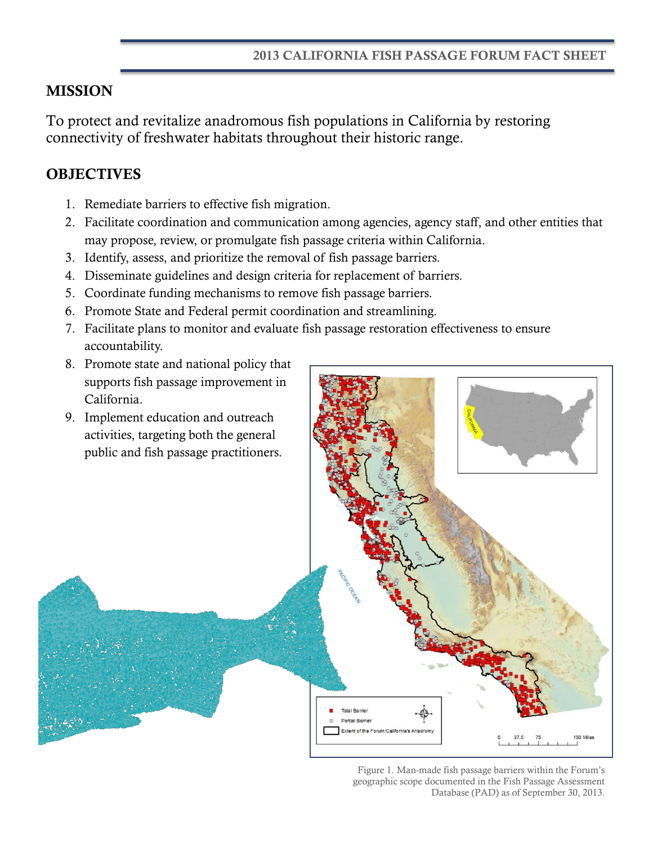## **MISSION**

To protect and revitalize anadromous fish populations in California by restoring connectivity of freshwater habitats throughout their historic range.

# **OBJECTIVES**

- 1. Remediate barriers to effective fish migration.
- 2. Facilitate coordination and communication among agencies, agency staff, and other entities that may propose, review, or promulgate fish passage criteria within California.
- 3. Identify, assess, and prioritize the removal of fish passage barriers.
- 4. Disseminate guidelines and design criteria for replacement of barriers.
- 5. Coordinate funding mechanisms to remove fish passage barriers.
- 6. Promote State and Federal permit coordination and streamlining.
- 7. Facilitate plans to monitor and evaluate fish passage restoration effectiveness to ensure accountability.
- 8. Promote state and national policy that supports fish passage improvement in California.



Figure 1. Man-made fish passage barriers within the Forum's geographic scope documented in the Fish Passage Assessment Database (PAD) as of September 30, 2013.